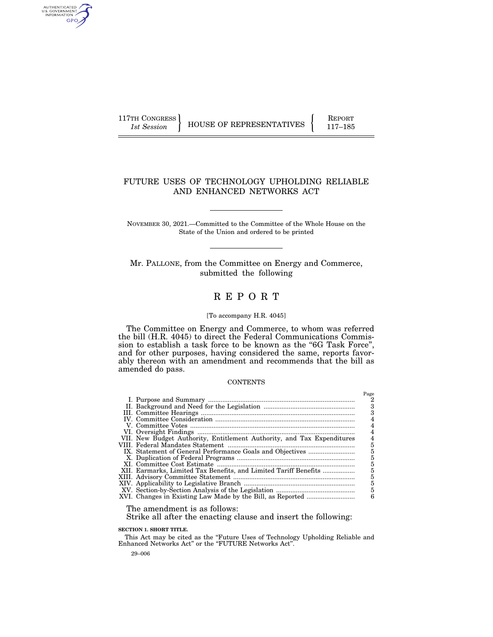AUTHENTICATED<br>U.S. GOVERNMENT<br>INFORMATION GPO

117TH CONGRESS HOUSE OF REPRESENTATIVES FEPORT 117-185

# FUTURE USES OF TECHNOLOGY UPHOLDING RELIABLE AND ENHANCED NETWORKS ACT

NOVEMBER 30, 2021.—Committed to the Committee of the Whole House on the State of the Union and ordered to be printed

Mr. PALLONE, from the Committee on Energy and Commerce, submitted the following

# R E P O R T

#### [To accompany H.R. 4045]

The Committee on Energy and Commerce, to whom was referred the bill (H.R. 4045) to direct the Federal Communications Commission to establish a task force to be known as the "6G Task Force", and for other purposes, having considered the same, reports favorably thereon with an amendment and recommends that the bill as amended do pass.

#### **CONTENTS**

|                                                                        | Page |
|------------------------------------------------------------------------|------|
|                                                                        | 2    |
|                                                                        | 3    |
|                                                                        | з    |
|                                                                        |      |
|                                                                        |      |
|                                                                        |      |
| VII. New Budget Authority, Entitlement Authority, and Tax Expenditures |      |
|                                                                        | 5    |
|                                                                        | 5    |
|                                                                        | 5    |
|                                                                        | 5    |
| XII. Earmarks, Limited Tax Benefits, and Limited Tariff Benefits       | 5    |
|                                                                        | 5    |
|                                                                        | 5    |
|                                                                        | 5    |
|                                                                        | 6    |

The amendment is as follows:

Strike all after the enacting clause and insert the following:

**SECTION 1. SHORT TITLE.** 

This Act may be cited as the ''Future Uses of Technology Upholding Reliable and Enhanced Networks Act" or the "FUTURE Networks Act".

29–006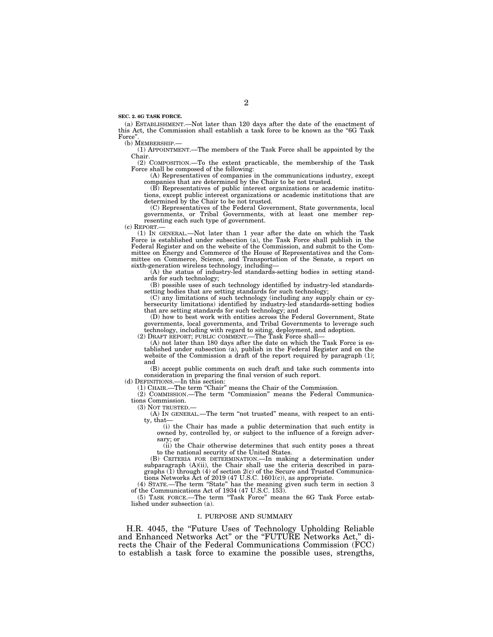**SEC. 2. 6G TASK FORCE.** 

(a) ESTABLISHMENT.—Not later than 120 days after the date of the enactment of this Act, the Commission shall establish a task force to be known as the ''6G Task Force'

(b) MEMBERSHIP.—

(1) APPOINTMENT.—The members of the Task Force shall be appointed by the Chair.

(2) COMPOSITION.—To the extent practicable, the membership of the Task Force shall be composed of the following:

(A) Representatives of companies in the communications industry, except companies that are determined by the Chair to be not trusted.

(B) Representatives of public interest organizations or academic institutions, except public interest organizations or academic institutions that are determined by the Chair to be not trusted.

(C) Representatives of the Federal Government, State governments, local governments, or Tribal Governments, with at least one member representing each such type of government.

(c) REPORT.—

(1) IN GENERAL.—Not later than 1 year after the date on which the Task Force is established under subsection (a), the Task Force shall publish in the Federal Register and on the website of the Commission, and submit to the Committee on Energy and Commerce of the House of Representatives and the Committee on Commerce, Science, and Transportation of the Senate, a report on sixth-generation wireless technology, including—

(A) the status of industry-led standards-setting bodies in setting standards for such technology;

(B) possible uses of such technology identified by industry-led standardssetting bodies that are setting standards for such technology

(C) any limitations of such technology (including any supply chain or cybersecurity limitations) identified by industry-led standards-setting bodies that are setting standards for such technology; and

(D) how to best work with entities across the Federal Government, State governments, local governments, and Tribal Governments to leverage such technology, including with regard to siting, deployment, and adoption. (2) DRAFT REPORT; PUBLIC COMMENT.—The Task Force shall—

(A) not later than 180 days after the date on which the Task Force is established under subsection (a), publish in the Federal Register and on the website of the Commission a draft of the report required by paragraph  $(1)$ ; and

(B) accept public comments on such draft and take such comments into consideration in preparing the final version of such report.

(d) DEFINITIONS.—In this section:

(1) CHAIR.—The term ''Chair'' means the Chair of the Commission.

(2) COMMISSION.—The term ''Commission'' means the Federal Communications Commission.

(3) NOT TRUSTED.—

(A) IN GENERAL.—The term ''not trusted'' means, with respect to an entity, that-

(i) the Chair has made a public determination that such entity is owned by, controlled by, or subject to the influence of a foreign adversary; or

(ii) the Chair otherwise determines that such entity poses a threat to the national security of the United States.

(B) CRITERIA FOR DETERMINATION.—In making a determination under subparagraph (A)(ii), the Chair shall use the criteria described in paragraphs  $(1)$  through  $(4)$  of section  $2(c)$  of the Secure and Trusted Communications Networks Act of 2019 (47 U.S.C. 1601(c)), as appropriate.

(4) STATE.—The term ''State'' has the meaning given such term in section 3 of the Communications Act of 1934 (47 U.S.C. 153).

(5) TASK FORCE.—The term ''Task Force'' means the 6G Task Force established under subsection (a).

## I. PURPOSE AND SUMMARY

H.R. 4045, the ''Future Uses of Technology Upholding Reliable and Enhanced Networks Act" or the "FUTURE Networks Act," directs the Chair of the Federal Communications Commission (FCC) to establish a task force to examine the possible uses, strengths,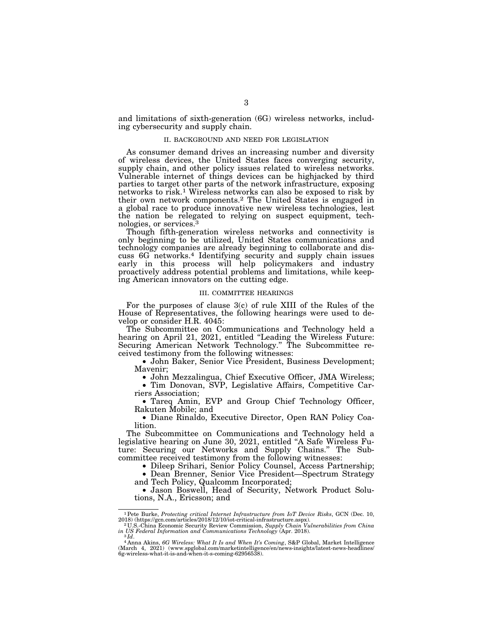and limitations of sixth-generation (6G) wireless networks, including cybersecurity and supply chain.

#### II. BACKGROUND AND NEED FOR LEGISLATION

As consumer demand drives an increasing number and diversity of wireless devices, the United States faces converging security, supply chain, and other policy issues related to wireless networks. Vulnerable internet of things devices can be highjacked by third parties to target other parts of the network infrastructure, exposing networks to risk.1 Wireless networks can also be exposed to risk by their own network components.2 The United States is engaged in a global race to produce innovative new wireless technologies, lest the nation be relegated to relying on suspect equipment, technologies, or services.3

Though fifth-generation wireless networks and connectivity is only beginning to be utilized, United States communications and technology companies are already beginning to collaborate and discuss 6G networks.4 Identifying security and supply chain issues early in this process will help policymakers and industry proactively address potential problems and limitations, while keeping American innovators on the cutting edge.

#### III. COMMITTEE HEARINGS

For the purposes of clause 3(c) of rule XIII of the Rules of the House of Representatives, the following hearings were used to develop or consider H.R. 4045:

The Subcommittee on Communications and Technology held a hearing on April 21, 2021, entitled ''Leading the Wireless Future: Securing American Network Technology.'' The Subcommittee received testimony from the following witnesses:

• John Baker, Senior Vice President, Business Development; Mavenir;

• John Mezzalingua, Chief Executive Officer, JMA Wireless;

• Tim Donovan, SVP, Legislative Affairs, Competitive Carriers Association;

• Tareq Amin, EVP and Group Chief Technology Officer, Rakuten Mobile; and

• Diane Rinaldo, Executive Director, Open RAN Policy Coalition.

The Subcommittee on Communications and Technology held a legislative hearing on June 30, 2021, entitled ''A Safe Wireless Future: Securing our Networks and Supply Chains.'' The Subcommittee received testimony from the following witnesses:

• Dileep Srihari, Senior Policy Counsel, Access Partnership;

• Dean Brenner, Senior Vice President—Spectrum Strategy and Tech Policy, Qualcomm Incorporated;

• Jason Boswell, Head of Security, Network Product Solutions, N.A., Ericsson; and

<sup>&</sup>lt;sup>1</sup>Pete Burke, *Protecting critical Internet Infrastructure from IoT Device Risks*, GCN (Dec. 10, 2018) (https://gcn.com/articles/2018/12/10/iot-critical-infrastructure.aspx).

<sup>2018) (</sup>https://gcn.com/articles/2018/12/10/iot-critical-infrastructure.aspx). 2018.<br>2018. China Economic Security Review Communistion, *Supply Chain Vulnerabilities from China in US Federal Information and Communications* 

*in US Federal Information and Communications Technology* (Apr. 2018). 3 *Id*. 4 Anna Akins, *6G Wireless: What It Is and When It's Coming*, S&P Global, Market Intelligence (March 4, 2021) (www.spglobal.com/marketintelligence/en/news-insights/latest-news-headlines/ 6g-wireless-what-it-is-and-when-it-s-coming-62956538).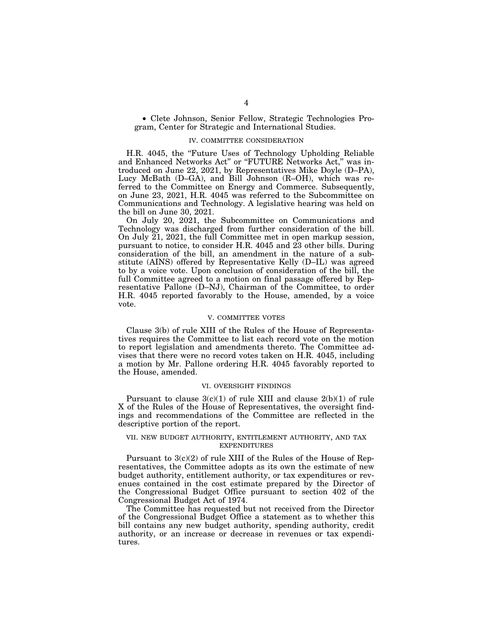• Clete Johnson, Senior Fellow, Strategic Technologies Program, Center for Strategic and International Studies.

## IV. COMMITTEE CONSIDERATION

H.R. 4045, the ''Future Uses of Technology Upholding Reliable and Enhanced Networks Act" or "FUTURE Networks Act," was introduced on June 22, 2021, by Representatives Mike Doyle (D–PA), Lucy McBath (D–GA), and Bill Johnson (R–OH), which was referred to the Committee on Energy and Commerce. Subsequently, on June 23, 2021, H.R. 4045 was referred to the Subcommittee on Communications and Technology. A legislative hearing was held on the bill on June 30, 2021.

On July 20, 2021, the Subcommittee on Communications and Technology was discharged from further consideration of the bill. On July 21, 2021, the full Committee met in open markup session, pursuant to notice, to consider H.R. 4045 and 23 other bills. During consideration of the bill, an amendment in the nature of a substitute (AINS) offered by Representative Kelly (D–IL) was agreed to by a voice vote. Upon conclusion of consideration of the bill, the full Committee agreed to a motion on final passage offered by Representative Pallone (D–NJ), Chairman of the Committee, to order H.R. 4045 reported favorably to the House, amended, by a voice vote.

## V. COMMITTEE VOTES

Clause 3(b) of rule XIII of the Rules of the House of Representatives requires the Committee to list each record vote on the motion to report legislation and amendments thereto. The Committee advises that there were no record votes taken on H.R. 4045, including a motion by Mr. Pallone ordering H.R. 4045 favorably reported to the House, amended.

## VI. OVERSIGHT FINDINGS

Pursuant to clause  $3(c)(1)$  of rule XIII and clause  $2(b)(1)$  of rule X of the Rules of the House of Representatives, the oversight findings and recommendations of the Committee are reflected in the descriptive portion of the report.

## VII. NEW BUDGET AUTHORITY, ENTITLEMENT AUTHORITY, AND TAX EXPENDITURES

Pursuant to 3(c)(2) of rule XIII of the Rules of the House of Representatives, the Committee adopts as its own the estimate of new budget authority, entitlement authority, or tax expenditures or revenues contained in the cost estimate prepared by the Director of the Congressional Budget Office pursuant to section 402 of the Congressional Budget Act of 1974.

The Committee has requested but not received from the Director of the Congressional Budget Office a statement as to whether this bill contains any new budget authority, spending authority, credit authority, or an increase or decrease in revenues or tax expenditures.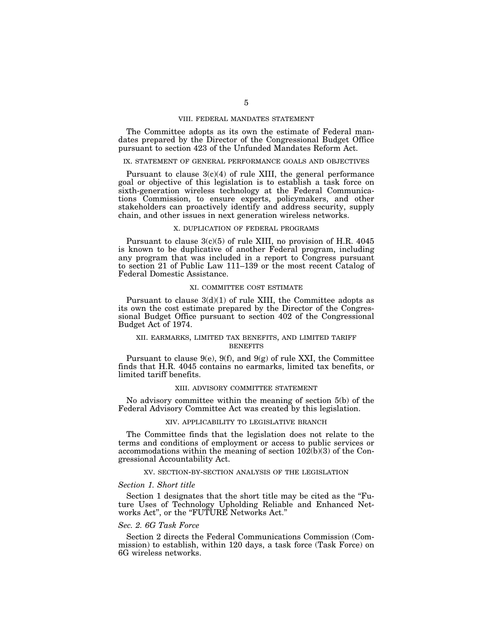## VIII. FEDERAL MANDATES STATEMENT

The Committee adopts as its own the estimate of Federal mandates prepared by the Director of the Congressional Budget Office pursuant to section 423 of the Unfunded Mandates Reform Act.

### IX. STATEMENT OF GENERAL PERFORMANCE GOALS AND OBJECTIVES

Pursuant to clause  $3(c)(4)$  of rule XIII, the general performance goal or objective of this legislation is to establish a task force on sixth-generation wireless technology at the Federal Communications Commission, to ensure experts, policymakers, and other stakeholders can proactively identify and address security, supply chain, and other issues in next generation wireless networks.

#### X. DUPLICATION OF FEDERAL PROGRAMS

Pursuant to clause 3(c)(5) of rule XIII, no provision of H.R. 4045 is known to be duplicative of another Federal program, including any program that was included in a report to Congress pursuant to section 21 of Public Law 111–139 or the most recent Catalog of Federal Domestic Assistance.

## XI. COMMITTEE COST ESTIMATE

Pursuant to clause  $3(d)(1)$  of rule XIII, the Committee adopts as its own the cost estimate prepared by the Director of the Congressional Budget Office pursuant to section 402 of the Congressional Budget Act of 1974.

# XII. EARMARKS, LIMITED TAX BENEFITS, AND LIMITED TARIFF **BENEFITS**

Pursuant to clause  $9(e)$ ,  $9(f)$ , and  $9(g)$  of rule XXI, the Committee finds that H.R. 4045 contains no earmarks, limited tax benefits, or limited tariff benefits.

#### XIII. ADVISORY COMMITTEE STATEMENT

No advisory committee within the meaning of section 5(b) of the Federal Advisory Committee Act was created by this legislation.

### XIV. APPLICABILITY TO LEGISLATIVE BRANCH

The Committee finds that the legislation does not relate to the terms and conditions of employment or access to public services or accommodations within the meaning of section  $10\overline{2(b)(3)}$  of the Congressional Accountability Act.

## XV. SECTION-BY-SECTION ANALYSIS OF THE LEGISLATION

#### *Section 1. Short title*

Section 1 designates that the short title may be cited as the "Future Uses of Technology Upholding Reliable and Enhanced Networks Act", or the "FUTURE Networks Act."

# *Sec. 2. 6G Task Force*

Section 2 directs the Federal Communications Commission (Commission) to establish, within 120 days, a task force (Task Force) on 6G wireless networks.